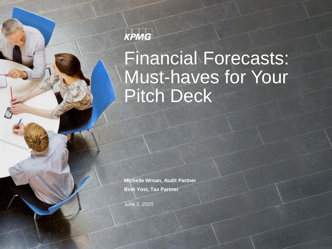### KPMG

# Financial Forecasts: Must-haves for Your Pitch Deck

**Michelle Wroan, Audit Partner Binti Yost, Tax Partner**

June 2, 2020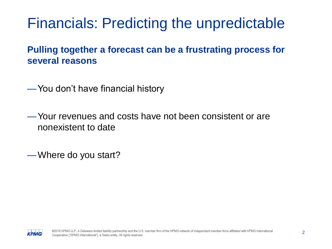### Financials: Predicting the unpredictable

#### **Pulling together a forecast can be a frustrating process for several reasons**

—You don't have financial history

—Your revenues and costs have not been consistent or are nonexistent to date

—Where do you start?

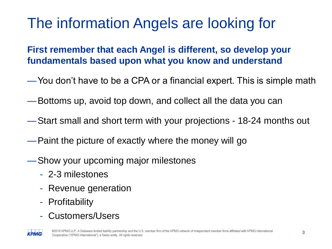# The information Angels are looking for

#### **First remember that each Angel is different, so develop your fundamentals based upon what you know and understand**

- —You don't have to be a CPA or a financial expert. This is simple math
- —Bottoms up, avoid top down, and collect all the data you can
- —Start small and short term with your projections 18-24 months out
- —Paint the picture of exactly where the money will go
- —Show your upcoming major milestones
	- 2-3 milestones
	- Revenue generation
	- Profitability
	- Customers/Users

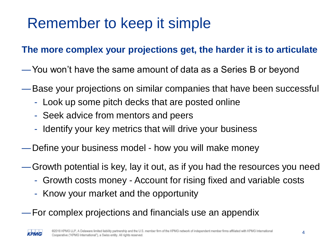# Remember to keep it simple

#### **The more complex your projections get, the harder it is to articulate**

- —You won't have the same amount of data as a Series B or beyond
- —Base your projections on similar companies that have been successful
	- Look up some pitch decks that are posted online
	- Seek advice from mentors and peers
	- Identify your key metrics that will drive your business
- —Define your business model how you will make money
- —Growth potential is key, lay it out, as if you had the resources you need
	- Growth costs money Account for rising fixed and variable costs
	- Know your market and the opportunity
- —For complex projections and financials use an appendix

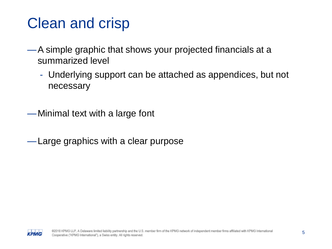## Clean and crisp

- —A simple graphic that shows your projected financials at a summarized level
	- Underlying support can be attached as appendices, but not necessary

—Minimal text with a large font

—Large graphics with a clear purpose

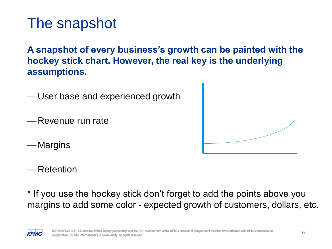### The snapshot

**A snapshot of every business's growth can be painted with the hockey stick chart. However, the real key is the underlying assumptions.**

—User base and experienced growth

—Revenue run rate

—Margins



—Retention

\* If you use the hockey stick don't forget to add the points above you margins to add some color - expected growth of customers, dollars, etc.

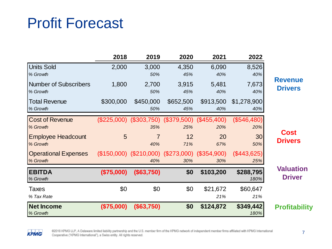### Profit Forecast

|                                          | 2018       | 2019                                                       | 2020             | 2021             | 2022                 |   |
|------------------------------------------|------------|------------------------------------------------------------|------------------|------------------|----------------------|---|
| <b>Units Sold</b><br>% Growth            | 2,000      | 3,000<br>50%                                               | 4,350<br>45%     | 6,090<br>40%     | 8,526<br>40%         |   |
| <b>Number of Subscribers</b><br>% Growth | 1,800      | 2,700<br>50%                                               | 3,915<br>45%     | 5,481<br>40%     | 7,673<br>40%         | R |
| <b>Total Revenue</b><br>% Growth         | \$300,000  | \$450,000<br>50%                                           | \$652,500<br>45% | \$913,500<br>40% | \$1,278,900<br>40%   |   |
| <b>Cost of Revenue</b><br>% Growth       |            | (\$225,000) (\$303,750) (\$379,500) (\$455,400)<br>35%     | 25%              | 20%              | $(\$546,480)$<br>20% |   |
| <b>Employee Headcount</b><br>% Growth    | 5          | 7<br>40%                                                   | 12<br>71%        | 20<br>67%        | 30<br>50%            |   |
| <b>Operational Expenses</b><br>% Growth  |            | $($150,000)$ $($210,000)$ $($273,000)$ $($354,900)$<br>40% | 30%              | 30%              | $(\$443,625)$<br>25% |   |
| <b>EBITDA</b><br>% Growth                | (\$75,000) | (\$63,750)                                                 | \$0              | \$103,200        | \$288,795<br>180%    |   |
| Taxes<br>% Tax Rate                      | \$0        | \$0                                                        | \$0              | \$21,672<br>21%  | \$60,647<br>21%      |   |
| <b>Net Income</b><br>% Growth            | (\$75,000) | (\$63,750)                                                 | \$0              | \$124,872        | \$349,442<br>180%    | F |

**Revenue Drivers**

**Cost Drivers**

**Valuation Driver**

**Profitability**

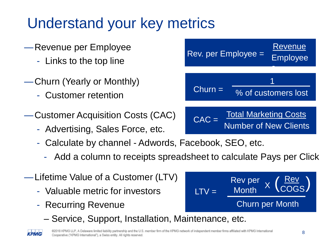# Understand your key metrics

- —Revenue per Employee
	- Links to the top line
- —Churn (Yearly or Monthly)
	- Customer retention
- —Customer Acquisition Costs (CAC)
	- Advertising, Sales Force, etc.
	- Calculate by channel Adwords, Facebook, SEO, etc.
		- Add a column to receipts spreadsheet to calculate Pays per Click
- —Lifetime Value of a Customer (LTV)
	- Valuable metric for investors
	- Recurring Revenue
		- Service, Support, Installation, Maintenance, etc.





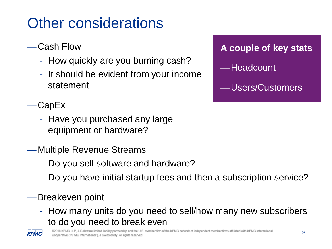# Other considerations

#### —Cash Flow

- How quickly are you burning cash?
- It should be evident from your income statement

#### —CapEx

- Have you purchased any large equipment or hardware?
- —Multiple Revenue Streams
	- Do you sell software and hardware?
	- Do you have initial startup fees and then a subscription service?

#### —Breakeven point

- How many units do you need to sell/how many new subscribers to do you need to break even



**A couple of key stats** —Headcount —Users/Customers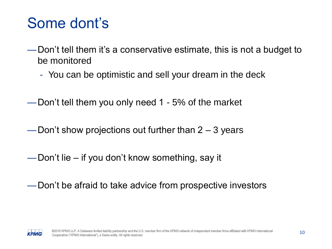### Some dont's

- —Don't tell them it's a conservative estimate, this is not a budget to be monitored
	- You can be optimistic and sell your dream in the deck
- —Don't tell them you only need 1 5% of the market
- —Don't show projections out further than  $2 3$  years
- —Don't lie if you don't know something, say it
- —Don't be afraid to take advice from prospective investors

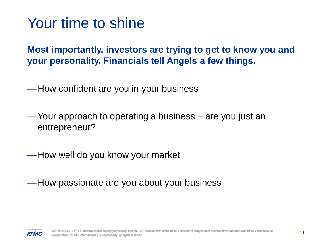### Your time to shine

**Most importantly, investors are trying to get to know you and your personality. Financials tell Angels a few things.**

—How confident are you in your business

—Your approach to operating a business – are you just an entrepreneur?

—How well do you know your market

—How passionate are you about your business

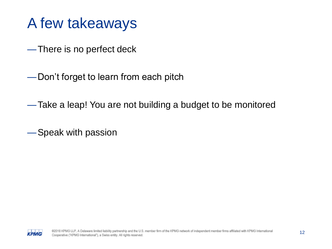### A few takeaways

—There is no perfect deck

—Don't forget to learn from each pitch

—Take a leap! You are not building a budget to be monitored

—Speak with passion